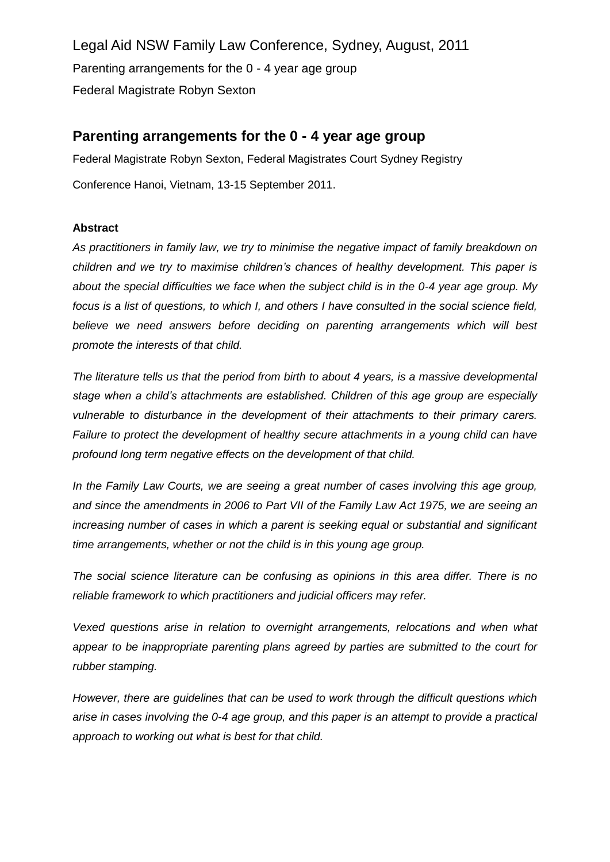Legal Aid NSW Family Law Conference, Sydney, August, 2011 Parenting arrangements for the 0 - 4 year age group Federal Magistrate Robyn Sexton

# **Parenting arrangements for the 0 - 4 year age group**

Federal Magistrate Robyn Sexton, Federal Magistrates Court Sydney Registry Conference Hanoi, Vietnam, 13-15 September 2011.

## **Abstract**

*As practitioners in family law, we try to minimise the negative impact of family breakdown on children and we try to maximise children's chances of healthy development. This paper is about the special difficulties we face when the subject child is in the 0-4 year age group. My focus is a list of questions, to which I, and others I have consulted in the social science field, believe we need answers before deciding on parenting arrangements which will best promote the interests of that child.* 

*The literature tells us that the period from birth to about 4 years, is a massive developmental stage when a child's attachments are established. Children of this age group are especially vulnerable to disturbance in the development of their attachments to their primary carers. Failure to protect the development of healthy secure attachments in a young child can have profound long term negative effects on the development of that child.* 

*In the Family Law Courts, we are seeing a great number of cases involving this age group, and since the amendments in 2006 to Part VII of the Family Law Act 1975, we are seeing an increasing number of cases in which a parent is seeking equal or substantial and significant time arrangements, whether or not the child is in this young age group.* 

*The social science literature can be confusing as opinions in this area differ. There is no reliable framework to which practitioners and judicial officers may refer.*

*Vexed questions arise in relation to overnight arrangements, relocations and when what appear to be inappropriate parenting plans agreed by parties are submitted to the court for rubber stamping.*

*However, there are guidelines that can be used to work through the difficult questions which arise in cases involving the 0-4 age group, and this paper is an attempt to provide a practical approach to working out what is best for that child.*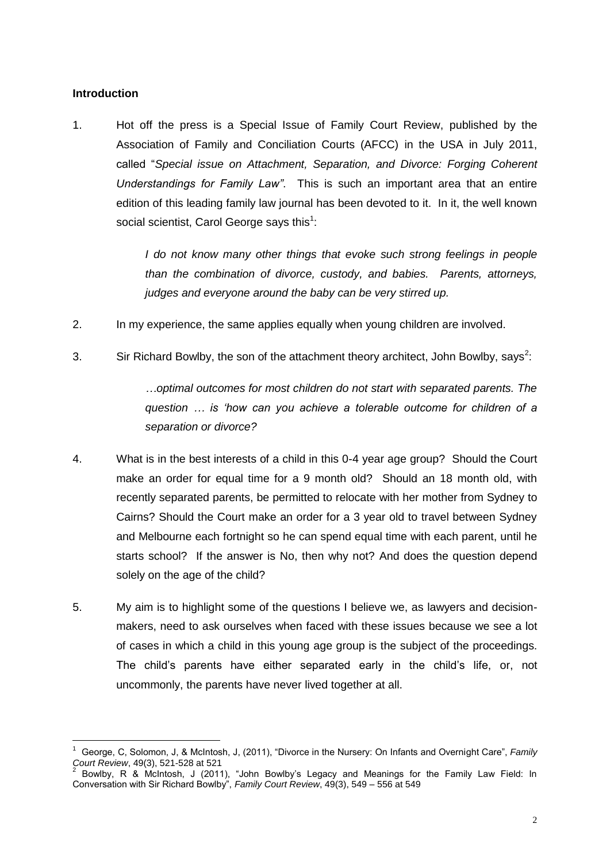## **Introduction**

1. Hot off the press is a Special Issue of Family Court Review, published by the Association of Family and Conciliation Courts (AFCC) in the USA in July 2011, called "*Special issue on Attachment, Separation, and Divorce: Forging Coherent Understandings for Family Law"*. This is such an important area that an entire edition of this leading family law journal has been devoted to it. In it, the well known social scientist, Carol George says this<sup>1</sup>:

> *I do not know many other things that evoke such strong feelings in people than the combination of divorce, custody, and babies. Parents, attorneys, judges and everyone around the baby can be very stirred up.*

- 2. In my experience, the same applies equally when young children are involved.
- 3. Sir Richard Bowlby, the son of the attachment theory architect, John Bowlby, says<sup>2</sup>:

*…optimal outcomes for most children do not start with separated parents. The question … is 'how can you achieve a tolerable outcome for children of a separation or divorce?*

- 4. What is in the best interests of a child in this 0-4 year age group? Should the Court make an order for equal time for a 9 month old? Should an 18 month old, with recently separated parents, be permitted to relocate with her mother from Sydney to Cairns? Should the Court make an order for a 3 year old to travel between Sydney and Melbourne each fortnight so he can spend equal time with each parent, until he starts school? If the answer is No, then why not? And does the question depend solely on the age of the child?
- 5. My aim is to highlight some of the questions I believe we, as lawyers and decisionmakers, need to ask ourselves when faced with these issues because we see a lot of cases in which a child in this young age group is the subject of the proceedings. The child's parents have either separated early in the child's life, or, not uncommonly, the parents have never lived together at all.

 $\overline{a}$ 1 George, C, Solomon, J, & McIntosh, J, (2011), "Divorce in the Nursery: On Infants and Overnight Care", *Family Court Review*, 49(3), 521-528 at 521

<sup>2</sup> Bowlby, R & McIntosh, J (2011), "John Bowlby"s Legacy and Meanings for the Family Law Field: In Conversation with Sir Richard Bowlby", *Family Court Review*, 49(3), 549 – 556 at 549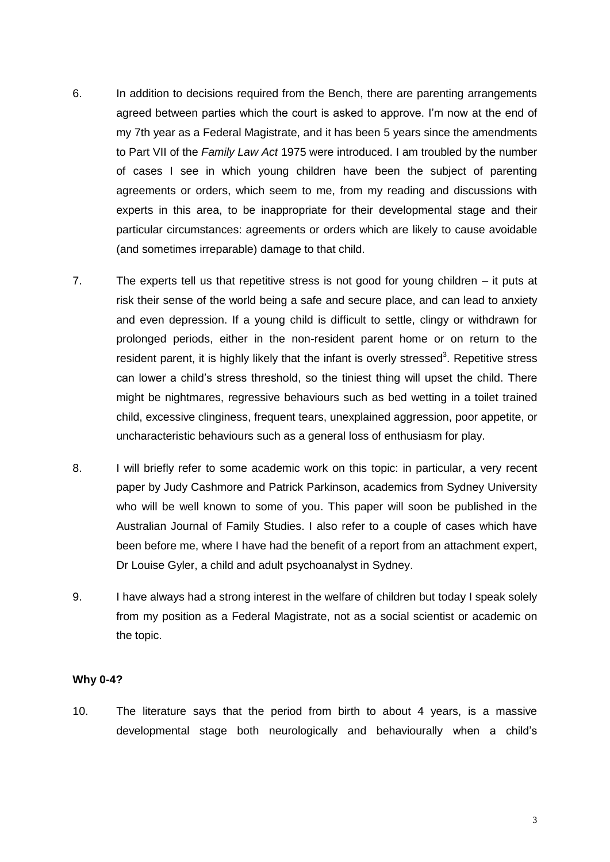- 6. In addition to decisions required from the Bench, there are parenting arrangements agreed between parties which the court is asked to approve. I'm now at the end of my 7th year as a Federal Magistrate, and it has been 5 years since the amendments to Part VII of the *Family Law Act* 1975 were introduced. I am troubled by the number of cases I see in which young children have been the subject of parenting agreements or orders, which seem to me, from my reading and discussions with experts in this area, to be inappropriate for their developmental stage and their particular circumstances: agreements or orders which are likely to cause avoidable (and sometimes irreparable) damage to that child.
- 7. The experts tell us that repetitive stress is not good for young children it puts at risk their sense of the world being a safe and secure place, and can lead to anxiety and even depression. If a young child is difficult to settle, clingy or withdrawn for prolonged periods, either in the non-resident parent home or on return to the resident parent, it is highly likely that the infant is overly stressed<sup>3</sup>. Repetitive stress can lower a child"s stress threshold, so the tiniest thing will upset the child. There might be nightmares, regressive behaviours such as bed wetting in a toilet trained child, excessive clinginess, frequent tears, unexplained aggression, poor appetite, or uncharacteristic behaviours such as a general loss of enthusiasm for play.
- 8. I will briefly refer to some academic work on this topic: in particular, a very recent paper by Judy Cashmore and Patrick Parkinson, academics from Sydney University who will be well known to some of you. This paper will soon be published in the Australian Journal of Family Studies. I also refer to a couple of cases which have been before me, where I have had the benefit of a report from an attachment expert, Dr Louise Gyler, a child and adult psychoanalyst in Sydney.
- 9. I have always had a strong interest in the welfare of children but today I speak solely from my position as a Federal Magistrate, not as a social scientist or academic on the topic.

## **Why 0-4?**

10. The literature says that the period from birth to about 4 years, is a massive developmental stage both neurologically and behaviourally when a child"s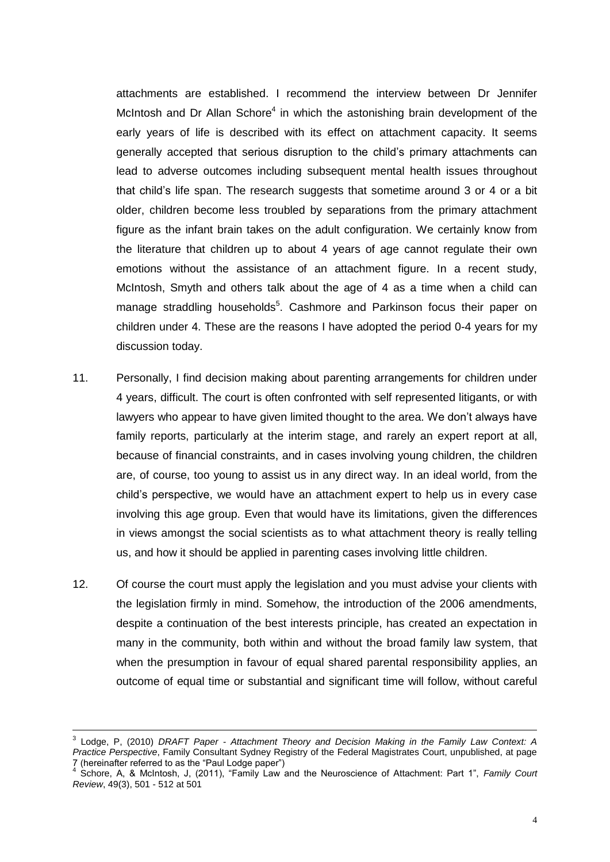attachments are established. I recommend the interview between Dr Jennifer McIntosh and Dr Allan Schore<sup>4</sup> in which the astonishing brain development of the early years of life is described with its effect on attachment capacity. It seems generally accepted that serious disruption to the child"s primary attachments can lead to adverse outcomes including subsequent mental health issues throughout that child"s life span. The research suggests that sometime around 3 or 4 or a bit older, children become less troubled by separations from the primary attachment figure as the infant brain takes on the adult configuration. We certainly know from the literature that children up to about 4 years of age cannot regulate their own emotions without the assistance of an attachment figure. In a recent study, McIntosh, Smyth and others talk about the age of 4 as a time when a child can manage straddling households<sup>5</sup>. Cashmore and Parkinson focus their paper on children under 4. These are the reasons I have adopted the period 0-4 years for my discussion today.

- 11. Personally, I find decision making about parenting arrangements for children under 4 years, difficult. The court is often confronted with self represented litigants, or with lawyers who appear to have given limited thought to the area. We don"t always have family reports, particularly at the interim stage, and rarely an expert report at all, because of financial constraints, and in cases involving young children, the children are, of course, too young to assist us in any direct way. In an ideal world, from the child"s perspective, we would have an attachment expert to help us in every case involving this age group. Even that would have its limitations, given the differences in views amongst the social scientists as to what attachment theory is really telling us, and how it should be applied in parenting cases involving little children.
- 12. Of course the court must apply the legislation and you must advise your clients with the legislation firmly in mind. Somehow, the introduction of the 2006 amendments, despite a continuation of the best interests principle, has created an expectation in many in the community, both within and without the broad family law system, that when the presumption in favour of equal shared parental responsibility applies, an outcome of equal time or substantial and significant time will follow, without careful

<sup>3</sup> Lodge, P, (2010) *DRAFT Paper - Attachment Theory and Decision Making in the Family Law Context: A Practice Perspective*, Family Consultant Sydney Registry of the Federal Magistrates Court, unpublished, at page 7 (hereinafter referred to as the "Paul Lodge paper")

<sup>4</sup> Schore, A, & McIntosh, J, (2011), "Family Law and the Neuroscience of Attachment: Part 1", *Family Court Review*, 49(3), 501 - 512 at 501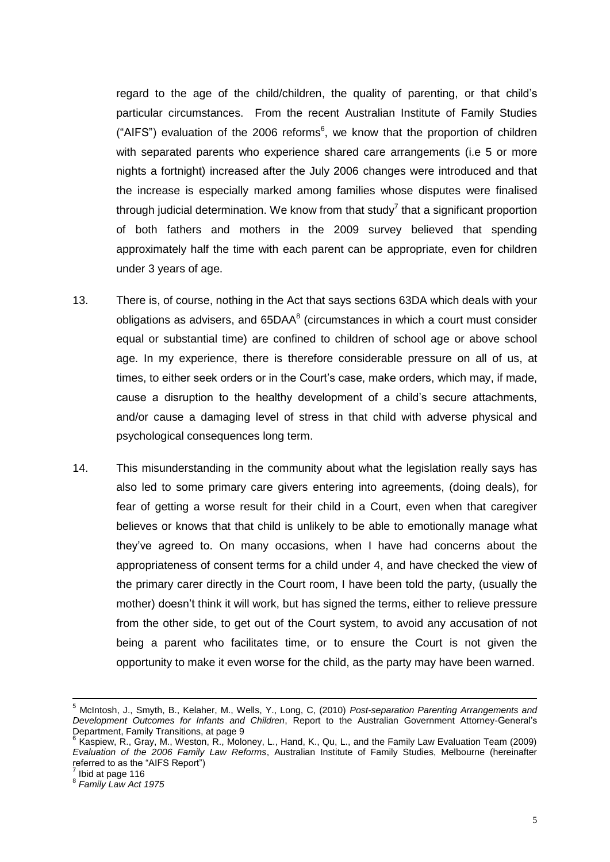regard to the age of the child/children, the quality of parenting, or that child"s particular circumstances. From the recent Australian Institute of Family Studies ("AIFS") evaluation of the 2006 reforms $6$ , we know that the proportion of children with separated parents who experience shared care arrangements (i.e 5 or more nights a fortnight) increased after the July 2006 changes were introduced and that the increase is especially marked among families whose disputes were finalised through judicial determination. We know from that study<sup>7</sup> that a significant proportion of both fathers and mothers in the 2009 survey believed that spending approximately half the time with each parent can be appropriate, even for children under 3 years of age.

- 13. There is, of course, nothing in the Act that says sections 63DA which deals with your obligations as advisers, and  $65\text{DAA}^8$  (circumstances in which a court must consider equal or substantial time) are confined to children of school age or above school age. In my experience, there is therefore considerable pressure on all of us, at times, to either seek orders or in the Court"s case, make orders, which may, if made, cause a disruption to the healthy development of a child"s secure attachments, and/or cause a damaging level of stress in that child with adverse physical and psychological consequences long term.
- 14. This misunderstanding in the community about what the legislation really says has also led to some primary care givers entering into agreements, (doing deals), for fear of getting a worse result for their child in a Court, even when that caregiver believes or knows that that child is unlikely to be able to emotionally manage what they"ve agreed to. On many occasions, when I have had concerns about the appropriateness of consent terms for a child under 4, and have checked the view of the primary carer directly in the Court room, I have been told the party, (usually the mother) doesn"t think it will work, but has signed the terms, either to relieve pressure from the other side, to get out of the Court system, to avoid any accusation of not being a parent who facilitates time, or to ensure the Court is not given the opportunity to make it even worse for the child, as the party may have been warned.

<sup>5</sup> McIntosh, J., Smyth, B., Kelaher, M., Wells, Y., Long, C, (2010) *Post-separation Parenting Arrangements and Development Outcomes for Infants and Children*, Report to the Australian Government Attorney-General"s Department, Family Transitions, at page 9<br><sup>6</sup> Kaspiew, R., Gray, M., Weston, R., Moloney, L., Hand, K., Qu, L., and the Family Law Evaluation Team (2009)

*Evaluation of the 2006 Family Law Reforms*, Australian Institute of Family Studies, Melbourne (hereinafter referred to as the "AIFS Report")

 $\frac{7}{1}$  Ibid at page 116

<sup>8</sup> *Family Law Act 1975*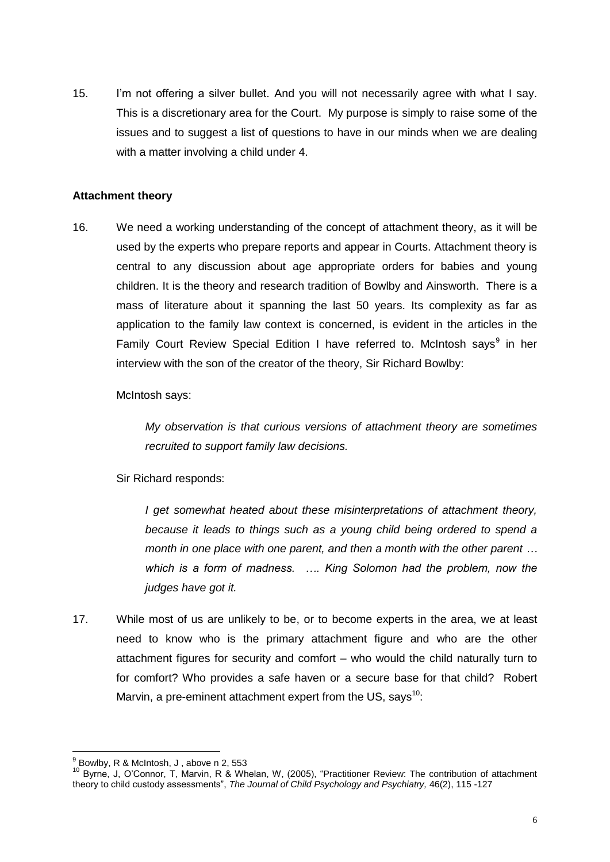15. I"m not offering a silver bullet. And you will not necessarily agree with what I say. This is a discretionary area for the Court. My purpose is simply to raise some of the issues and to suggest a list of questions to have in our minds when we are dealing with a matter involving a child under 4.

## **Attachment theory**

16. We need a working understanding of the concept of attachment theory, as it will be used by the experts who prepare reports and appear in Courts. Attachment theory is central to any discussion about age appropriate orders for babies and young children. It is the theory and research tradition of Bowlby and Ainsworth. There is a mass of literature about it spanning the last 50 years. Its complexity as far as application to the family law context is concerned, is evident in the articles in the Family Court Review Special Edition I have referred to. McIntosh says<sup>9</sup> in her interview with the son of the creator of the theory, Sir Richard Bowlby:

McIntosh says:

*My observation is that curious versions of attachment theory are sometimes recruited to support family law decisions.* 

Sir Richard responds:

*I get somewhat heated about these misinterpretations of attachment theory, because it leads to things such as a young child being ordered to spend a month in one place with one parent, and then a month with the other parent … which is a form of madness. …. King Solomon had the problem, now the judges have got it.* 

17. While most of us are unlikely to be, or to become experts in the area, we at least need to know who is the primary attachment figure and who are the other attachment figures for security and comfort – who would the child naturally turn to for comfort? Who provides a safe haven or a secure base for that child? Robert Marvin, a pre-eminent attachment expert from the US, says<sup>10</sup>:

 $\overline{a}$  $<sup>9</sup>$  Bowlby, R & McIntosh, J , above n 2, 553</sup>

<sup>10</sup> Byrne, J, O"Connor, T, Marvin, R & Whelan, W, (2005), "Practitioner Review: The contribution of attachment theory to child custody assessments", *The Journal of Child Psychology and Psychiatry,* 46(2), 115 -127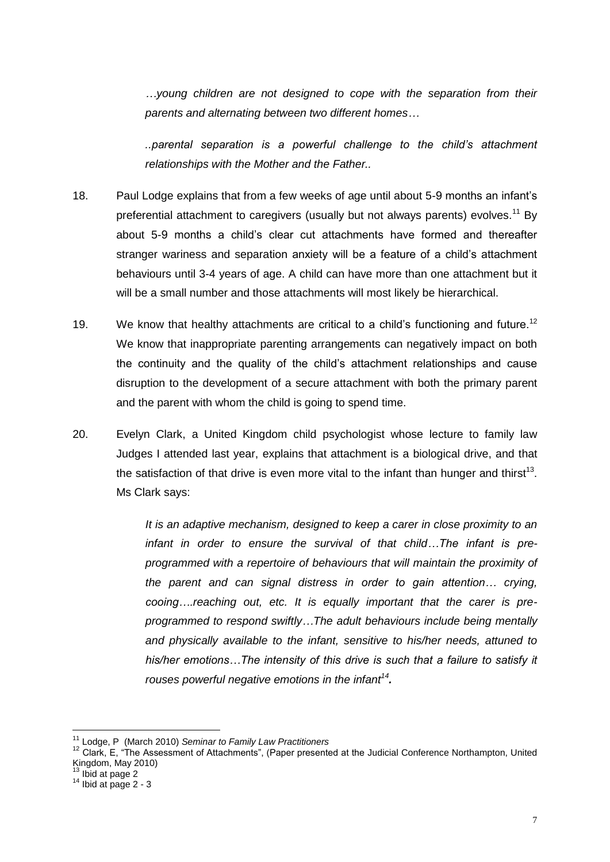*…young children are not designed to cope with the separation from their parents and alternating between two different homes…*

*..parental separation is a powerful challenge to the child's attachment relationships with the Mother and the Father..*

- 18. Paul Lodge explains that from a few weeks of age until about 5-9 months an infant"s preferential attachment to caregivers (usually but not always parents) evolves.<sup>11</sup> By about 5-9 months a child"s clear cut attachments have formed and thereafter stranger wariness and separation anxiety will be a feature of a child's attachment behaviours until 3-4 years of age. A child can have more than one attachment but it will be a small number and those attachments will most likely be hierarchical.
- 19. We know that healthy attachments are critical to a child's functioning and future.<sup>12</sup> We know that inappropriate parenting arrangements can negatively impact on both the continuity and the quality of the child"s attachment relationships and cause disruption to the development of a secure attachment with both the primary parent and the parent with whom the child is going to spend time.
- 20. Evelyn Clark, a United Kingdom child psychologist whose lecture to family law Judges I attended last year, explains that attachment is a biological drive, and that the satisfaction of that drive is even more vital to the infant than hunger and thirst<sup>13</sup>. Ms Clark says:

*It is an adaptive mechanism, designed to keep a carer in close proximity to an infant in order to ensure the survival of that child…The infant is preprogrammed with a repertoire of behaviours that will maintain the proximity of the parent and can signal distress in order to gain attention… crying, cooing….reaching out, etc. It is equally important that the carer is preprogrammed to respond swiftly…The adult behaviours include being mentally and physically available to the infant, sensitive to his/her needs, attuned to his/her emotions…The intensity of this drive is such that a failure to satisfy it rouses powerful negative emotions in the infant<sup>14</sup> .*

<sup>11</sup> Lodge, P (March 2010) *Seminar to Family Law Practitioners*

<sup>&</sup>lt;sup>12</sup> Clark, E, "The Assessment of Attachments", (Paper presented at the Judicial Conference Northampton, United Kingdom, May 2010)

 $13$  Ibid at page 2

 $14$  Ibid at page 2 - 3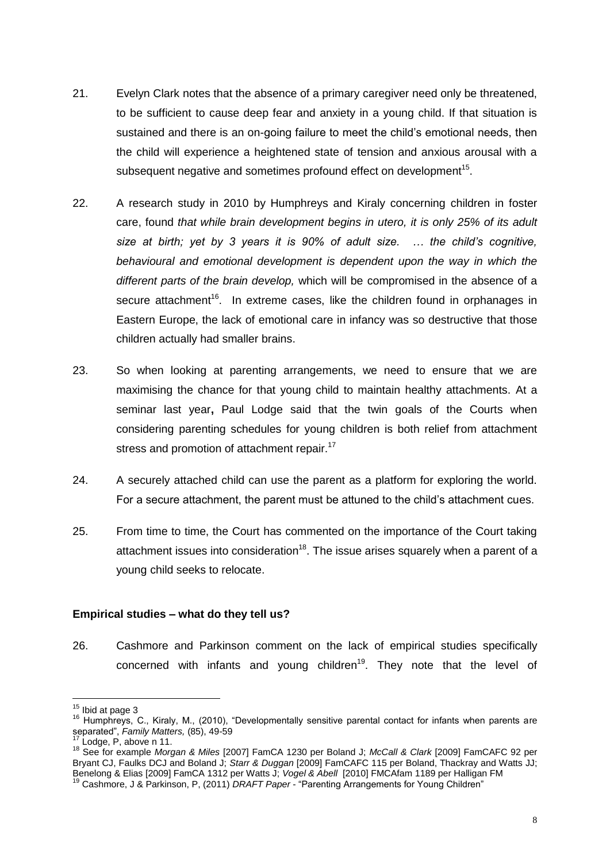- 21. Evelyn Clark notes that the absence of a primary caregiver need only be threatened, to be sufficient to cause deep fear and anxiety in a young child. If that situation is sustained and there is an on-going failure to meet the child"s emotional needs, then the child will experience a heightened state of tension and anxious arousal with a subsequent negative and sometimes profound effect on development<sup>15</sup>.
- 22. A research study in 2010 by Humphreys and Kiraly concerning children in foster care, found *that while brain development begins in utero, it is only 25% of its adult size at birth; yet by 3 years it is 90% of adult size. … the child's cognitive, behavioural and emotional development is dependent upon the way in which the different parts of the brain develop,* which will be compromised in the absence of a secure attachment<sup>16</sup>. In extreme cases, like the children found in orphanages in Eastern Europe, the lack of emotional care in infancy was so destructive that those children actually had smaller brains.
- 23. So when looking at parenting arrangements, we need to ensure that we are maximising the chance for that young child to maintain healthy attachments. At a seminar last year**,** Paul Lodge said that the twin goals of the Courts when considering parenting schedules for young children is both relief from attachment stress and promotion of attachment repair.<sup>17</sup>
- 24. A securely attached child can use the parent as a platform for exploring the world. For a secure attachment, the parent must be attuned to the child"s attachment cues.
- 25. From time to time, the Court has commented on the importance of the Court taking attachment issues into consideration<sup>18</sup>. The issue arises squarely when a parent of a young child seeks to relocate.

## **Empirical studies – what do they tell us?**

26. Cashmore and Parkinson comment on the lack of empirical studies specifically concerned with infants and young children<sup>19</sup>. They note that the level of

  $15$  Ibid at page 3

<sup>16</sup> Humphreys, C., Kiraly, M., (2010), "Developmentally sensitive parental contact for infants when parents are separated", *Family Matters,* (85), 49-59

 $17$  Lodge, P, above n 11.

<sup>18</sup> See for example *Morgan & Miles* [2007] FamCA 1230 per Boland J; *McCall & Clark* [2009] FamCAFC 92 per Bryant CJ, Faulks DCJ and Boland J; *Starr & Duggan* [2009] FamCAFC 115 per Boland, Thackray and Watts JJ; Benelong & Elias [2009] FamCA 1312 per Watts J; *Vogel & Abell* [2010] FMCAfam 1189 per Halligan FM

<sup>&</sup>lt;sup>19</sup> Cashmore, J & Parkinson, P, (2011) *DRAFT Paper* - "Parenting Arrangements for Young Children"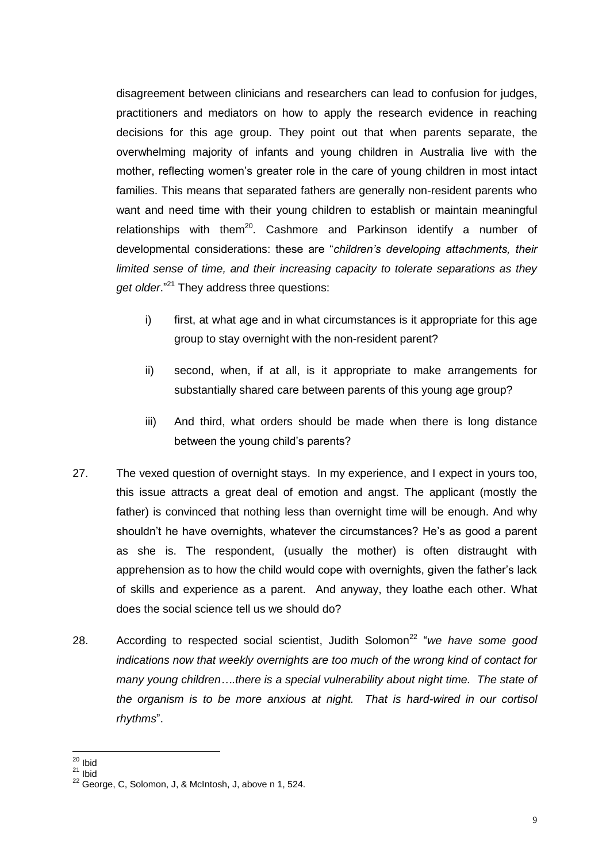disagreement between clinicians and researchers can lead to confusion for judges, practitioners and mediators on how to apply the research evidence in reaching decisions for this age group. They point out that when parents separate, the overwhelming majority of infants and young children in Australia live with the mother, reflecting women"s greater role in the care of young children in most intact families. This means that separated fathers are generally non-resident parents who want and need time with their young children to establish or maintain meaningful relationships with them<sup>20</sup>. Cashmore and Parkinson identify a number of developmental considerations: these are "*children's developing attachments, their limited sense of time, and their increasing capacity to tolerate separations as they get older*."<sup>21</sup> They address three questions:

- i) first, at what age and in what circumstances is it appropriate for this age group to stay overnight with the non-resident parent?
- ii) second, when, if at all, is it appropriate to make arrangements for substantially shared care between parents of this young age group?
- iii) And third, what orders should be made when there is long distance between the young child's parents?
- 27. The vexed question of overnight stays. In my experience, and I expect in yours too, this issue attracts a great deal of emotion and angst. The applicant (mostly the father) is convinced that nothing less than overnight time will be enough. And why shouldn't he have overnights, whatever the circumstances? He's as good a parent as she is. The respondent, (usually the mother) is often distraught with apprehension as to how the child would cope with overnights, given the father"s lack of skills and experience as a parent. And anyway, they loathe each other. What does the social science tell us we should do?
- 28. According to respected social scientist, Judith Solomon<sup>22</sup> "we have some good *indications now that weekly overnights are too much of the wrong kind of contact for many young children….there is a special vulnerability about night time. The state of the organism is to be more anxious at night. That is hard-wired in our cortisol rhythms*".

 $\overline{a}$ 

 $^{20}$  Ibid

 $21$  Ibid

<sup>22</sup> George, C, Solomon, J, & McIntosh, J, above n 1, 524.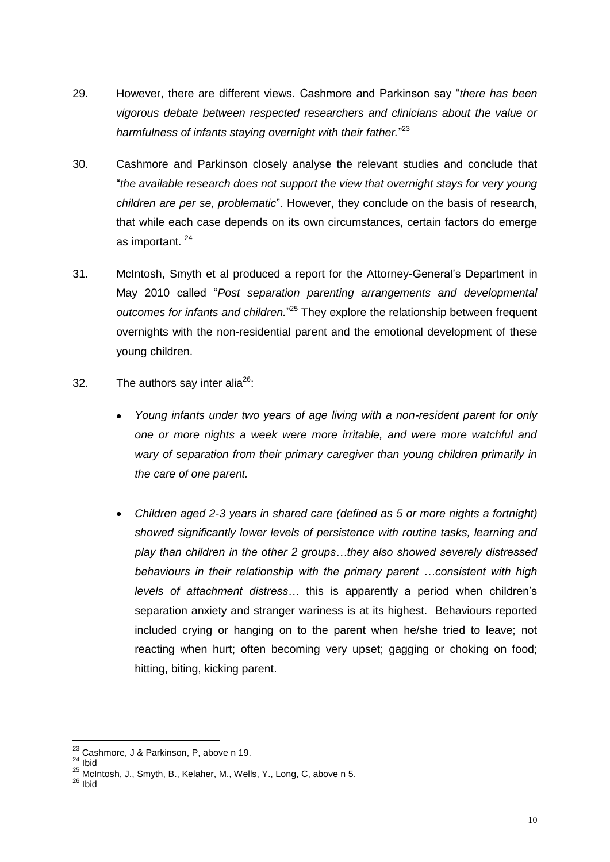- 29. However, there are different views. Cashmore and Parkinson say "*there has been vigorous debate between respected researchers and clinicians about the value or harmfulness of infants staying overnight with their father.*" 23
- 30. Cashmore and Parkinson closely analyse the relevant studies and conclude that "*the available research does not support the view that overnight stays for very young children are per se, problematic*". However, they conclude on the basis of research, that while each case depends on its own circumstances, certain factors do emerge as important. <sup>24</sup>
- 31. McIntosh, Smyth et al produced a report for the Attorney-General"s Department in May 2010 called "*Post separation parenting arrangements and developmental outcomes for infants and children.*" <sup>25</sup> They explore the relationship between frequent overnights with the non-residential parent and the emotional development of these young children.
- 32. The authors say inter alia<sup>26</sup>:
	- *Young infants under two years of age living with a non-resident parent for only one or more nights a week were more irritable, and were more watchful and wary of separation from their primary caregiver than young children primarily in the care of one parent.*
	- *Children aged 2-3 years in shared care (defined as 5 or more nights a fortnight)*   $\bullet$ *showed significantly lower levels of persistence with routine tasks, learning and play than children in the other 2 groups…they also showed severely distressed behaviours in their relationship with the primary parent …consistent with high levels of attachment distress…* this is apparently a period when children"s separation anxiety and stranger wariness is at its highest. Behaviours reported included crying or hanging on to the parent when he/she tried to leave; not reacting when hurt; often becoming very upset; gagging or choking on food; hitting, biting, kicking parent.

 $\overline{a}$ 

 $^{23}$  Cashmore, J & Parkinson, P, above n 19.

 $24$  Ibid

<sup>25</sup> McIntosh, J., Smyth, B., Kelaher, M., Wells, Y., Long, C, above n 5.

 $26$  Ibid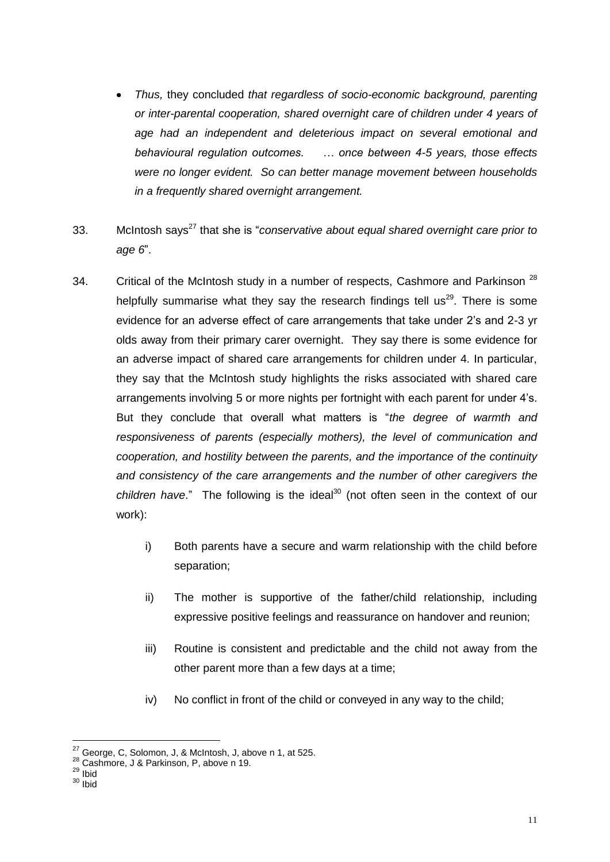- *Thus,* they concluded *that regardless of socio-economic background, parenting or inter-parental cooperation, shared overnight care of children under 4 years of age had an independent and deleterious impact on several emotional and behavioural regulation outcomes. … once between 4-5 years, those effects were no longer evident. So can better manage movement between households in a frequently shared overnight arrangement.*
- 33. McIntosh says<sup>27</sup> that she is "*conservative about equal shared overnight care prior to age 6*".
- 34. Critical of the McIntosh study in a number of respects, Cashmore and Parkinson  $^{28}$ helpfully summarise what they say the research findings tell us<sup>29</sup>. There is some evidence for an adverse effect of care arrangements that take under 2"s and 2-3 yr olds away from their primary carer overnight. They say there is some evidence for an adverse impact of shared care arrangements for children under 4. In particular, they say that the McIntosh study highlights the risks associated with shared care arrangements involving 5 or more nights per fortnight with each parent for under 4"s. But they conclude that overall what matters is "*the degree of warmth and responsiveness of parents (especially mothers), the level of communication and cooperation, and hostility between the parents, and the importance of the continuity and consistency of the care arrangements and the number of other caregivers the children have.*" The following is the ideal<sup>30</sup> (not often seen in the context of our work):
	- i) Both parents have a secure and warm relationship with the child before separation;
	- ii) The mother is supportive of the father/child relationship, including expressive positive feelings and reassurance on handover and reunion;
	- iii) Routine is consistent and predictable and the child not away from the other parent more than a few days at a time;
	- iv) No conflict in front of the child or conveyed in any way to the child;

 $\overline{a}$  $27$  George, C, Solomon, J, & McIntosh, J, above n 1, at 525.

 $^{28}$  Cashmore, J & Parkinson, P, above n 19.

 $29$  Ibid

 $30$  Ibid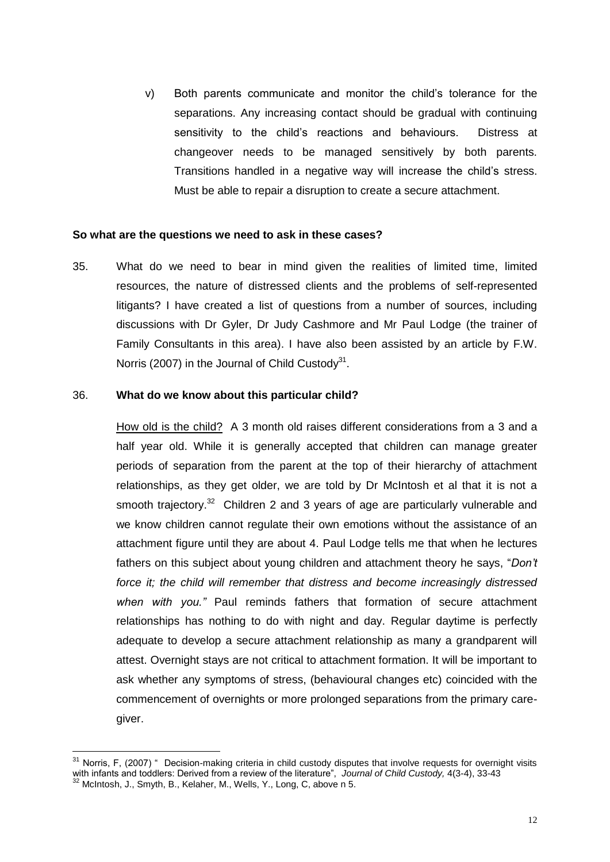v) Both parents communicate and monitor the child"s tolerance for the separations. Any increasing contact should be gradual with continuing sensitivity to the child"s reactions and behaviours. Distress at changeover needs to be managed sensitively by both parents. Transitions handled in a negative way will increase the child"s stress. Must be able to repair a disruption to create a secure attachment.

#### **So what are the questions we need to ask in these cases?**

35. What do we need to bear in mind given the realities of limited time, limited resources, the nature of distressed clients and the problems of self-represented litigants? I have created a list of questions from a number of sources, including discussions with Dr Gyler, Dr Judy Cashmore and Mr Paul Lodge (the trainer of Family Consultants in this area). I have also been assisted by an article by F.W. Norris (2007) in the Journal of Child Custody $31$ .

#### 36. **What do we know about this particular child?**

 $\overline{a}$ 

How old is the child? A 3 month old raises different considerations from a 3 and a half year old. While it is generally accepted that children can manage greater periods of separation from the parent at the top of their hierarchy of attachment relationships, as they get older, we are told by Dr McIntosh et al that it is not a smooth trajectory.<sup>32</sup> Children 2 and 3 years of age are particularly vulnerable and we know children cannot regulate their own emotions without the assistance of an attachment figure until they are about 4. Paul Lodge tells me that when he lectures fathers on this subject about young children and attachment theory he says, "*Don't force it; the child will remember that distress and become increasingly distressed when with you."* Paul reminds fathers that formation of secure attachment relationships has nothing to do with night and day. Regular daytime is perfectly adequate to develop a secure attachment relationship as many a grandparent will attest. Overnight stays are not critical to attachment formation. It will be important to ask whether any symptoms of stress, (behavioural changes etc) coincided with the commencement of overnights or more prolonged separations from the primary caregiver.

 $31$  Norris, F, (2007) " Decision-making criteria in child custody disputes that involve requests for overnight visits with infants and toddlers: Derived from a review of the literature", *Journal of Child Custody,* 4(3-4), 33-43  $32$  McIntosh, J., Smyth, B., Kelaher, M., Wells, Y., Long, C, above n 5.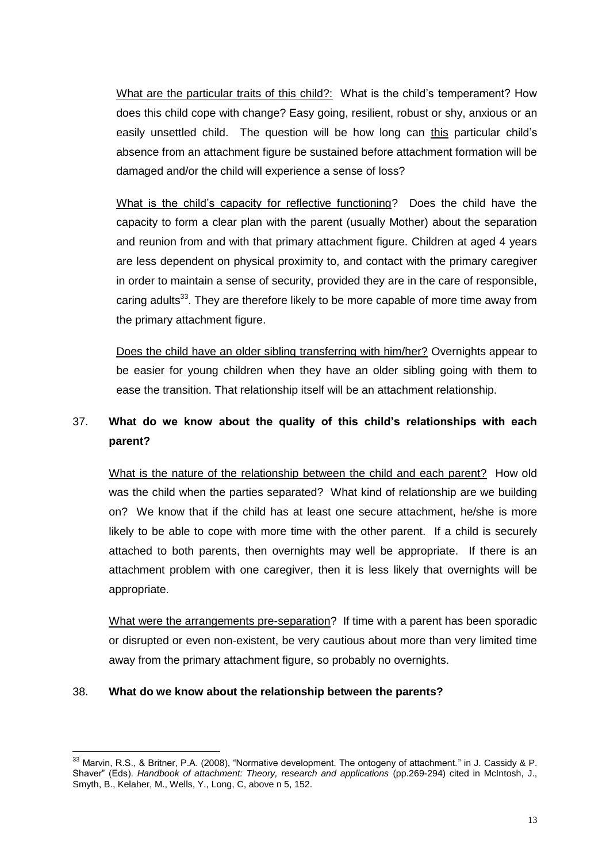What are the particular traits of this child?: What is the child's temperament? How does this child cope with change? Easy going, resilient, robust or shy, anxious or an easily unsettled child. The question will be how long can this particular child"s absence from an attachment figure be sustained before attachment formation will be damaged and/or the child will experience a sense of loss?

What is the child"s capacity for reflective functioning? Does the child have the capacity to form a clear plan with the parent (usually Mother) about the separation and reunion from and with that primary attachment figure. Children at aged 4 years are less dependent on physical proximity to, and contact with the primary caregiver in order to maintain a sense of security, provided they are in the care of responsible, caring adults<sup>33</sup>. They are therefore likely to be more capable of more time away from the primary attachment figure.

Does the child have an older sibling transferring with him/her? Overnights appear to be easier for young children when they have an older sibling going with them to ease the transition. That relationship itself will be an attachment relationship.

# 37. **What do we know about the quality of this child's relationships with each parent?**

What is the nature of the relationship between the child and each parent? How old was the child when the parties separated? What kind of relationship are we building on? We know that if the child has at least one secure attachment, he/she is more likely to be able to cope with more time with the other parent. If a child is securely attached to both parents, then overnights may well be appropriate. If there is an attachment problem with one caregiver, then it is less likely that overnights will be appropriate.

What were the arrangements pre-separation? If time with a parent has been sporadic or disrupted or even non-existent, be very cautious about more than very limited time away from the primary attachment figure, so probably no overnights.

## 38. **What do we know about the relationship between the parents?**

 $\overline{a}$  $33$  Marvin, R.S., & Britner, P.A. (2008), "Normative development. The ontogeny of attachment." in J. Cassidy & P. Shaver" (Eds). *Handbook of attachment: Theory, research and applications* (pp.269-294) cited in McIntosh, J., Smyth, B., Kelaher, M., Wells, Y., Long, C, above n 5, 152.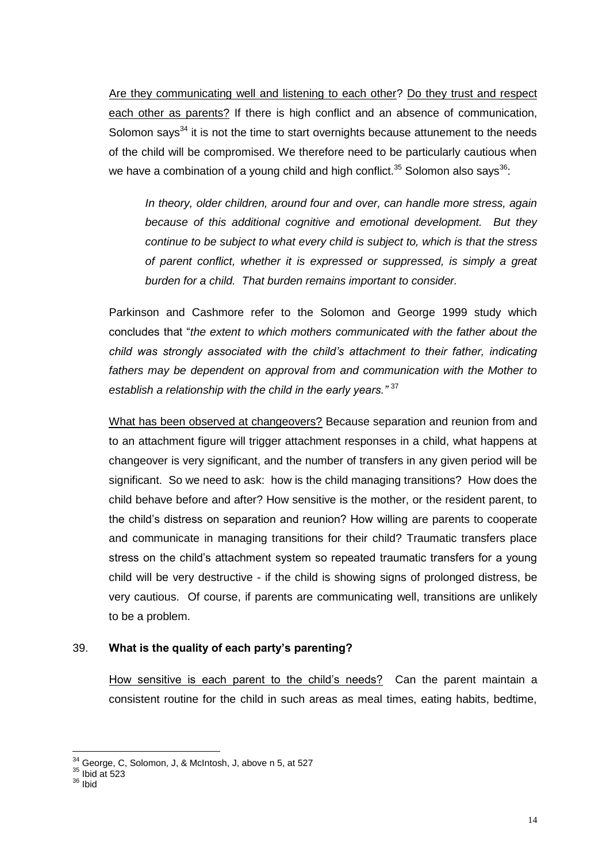Are they communicating well and listening to each other? Do they trust and respect each other as parents? If there is high conflict and an absence of communication, Solomon says $34$  it is not the time to start overnights because attunement to the needs of the child will be compromised. We therefore need to be particularly cautious when we have a combination of a young child and high conflict.<sup>35</sup> Solomon also says<sup>36</sup>:

*In theory, older children, around four and over, can handle more stress, again because of this additional cognitive and emotional development. But they continue to be subject to what every child is subject to, which is that the stress of parent conflict, whether it is expressed or suppressed, is simply a great burden for a child. That burden remains important to consider.* 

Parkinson and Cashmore refer to the Solomon and George 1999 study which concludes that "*the extent to which mothers communicated with the father about the child was strongly associated with the child's attachment to their father, indicating*  fathers may be dependent on approval from and communication with the Mother to *establish a relationship with the child in the early years."* <sup>37</sup>

What has been observed at changeovers? Because separation and reunion from and to an attachment figure will trigger attachment responses in a child, what happens at changeover is very significant, and the number of transfers in any given period will be significant. So we need to ask: how is the child managing transitions? How does the child behave before and after? How sensitive is the mother, or the resident parent, to the child"s distress on separation and reunion? How willing are parents to cooperate and communicate in managing transitions for their child? Traumatic transfers place stress on the child"s attachment system so repeated traumatic transfers for a young child will be very destructive - if the child is showing signs of prolonged distress, be very cautious. Of course, if parents are communicating well, transitions are unlikely to be a problem.

# 39. **What is the quality of each party's parenting?**

How sensitive is each parent to the child"s needs? Can the parent maintain a consistent routine for the child in such areas as meal times, eating habits, bedtime,

 $\overline{a}$  $34$  George, C, Solomon, J, & McIntosh, J, above n 5, at 527

 $35$  Ibid at 523

<sup>36</sup> Ibid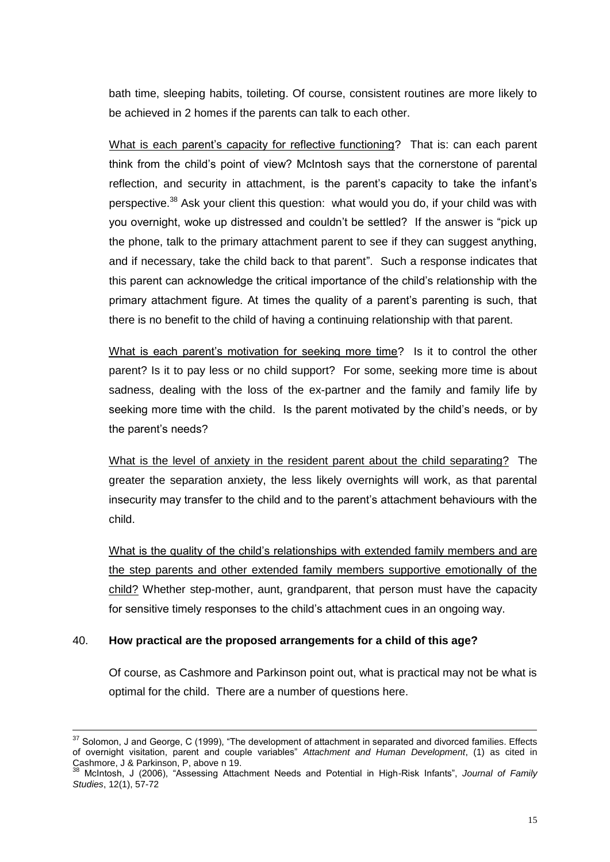bath time, sleeping habits, toileting. Of course, consistent routines are more likely to be achieved in 2 homes if the parents can talk to each other.

What is each parent's capacity for reflective functioning? That is: can each parent think from the child"s point of view? McIntosh says that the cornerstone of parental reflection, and security in attachment, is the parent's capacity to take the infant's perspective.<sup>38</sup> Ask your client this question: what would you do, if your child was with you overnight, woke up distressed and couldn"t be settled? If the answer is "pick up the phone, talk to the primary attachment parent to see if they can suggest anything. and if necessary, take the child back to that parent". Such a response indicates that this parent can acknowledge the critical importance of the child"s relationship with the primary attachment figure. At times the quality of a parent"s parenting is such, that there is no benefit to the child of having a continuing relationship with that parent.

What is each parent's motivation for seeking more time? Is it to control the other parent? Is it to pay less or no child support? For some, seeking more time is about sadness, dealing with the loss of the ex-partner and the family and family life by seeking more time with the child. Is the parent motivated by the child"s needs, or by the parent"s needs?

What is the level of anxiety in the resident parent about the child separating? The greater the separation anxiety, the less likely overnights will work, as that parental insecurity may transfer to the child and to the parent"s attachment behaviours with the child.

What is the quality of the child"s relationships with extended family members and are the step parents and other extended family members supportive emotionally of the child? Whether step-mother, aunt, grandparent, that person must have the capacity for sensitive timely responses to the child"s attachment cues in an ongoing way.

# 40. **How practical are the proposed arrangements for a child of this age?**

Of course, as Cashmore and Parkinson point out, what is practical may not be what is optimal for the child. There are a number of questions here.

<sup>&</sup>lt;sup>37</sup> Solomon, J and George, C (1999), "The development of attachment in separated and divorced families. Effects of overnight visitation, parent and couple variables" *Attachment and Human Development*, (1) as cited in Cashmore, J & Parkinson, P, above n 19.

<sup>38</sup> McIntosh, J (2006), "Assessing Attachment Needs and Potential in High-Risk Infants", *Journal of Family Studies*, 12(1), 57-72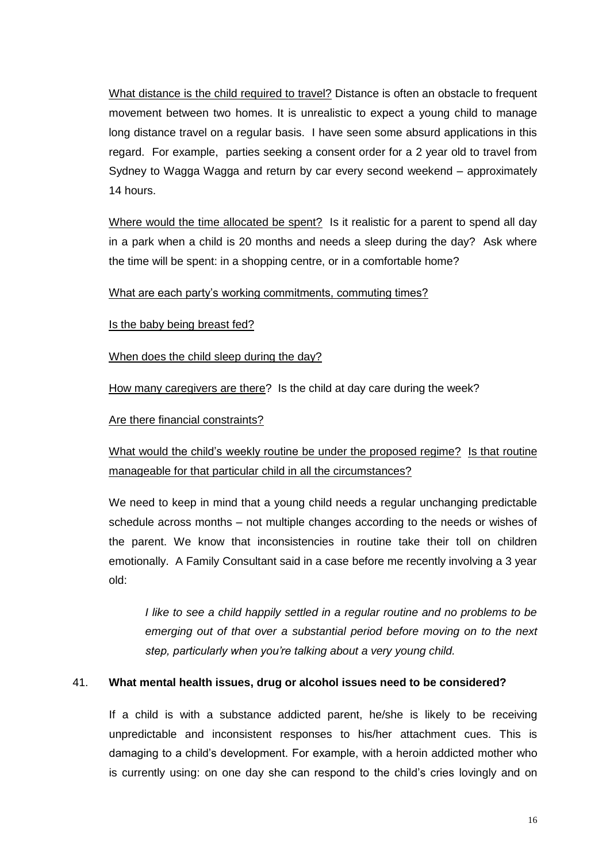What distance is the child required to travel? Distance is often an obstacle to frequent movement between two homes. It is unrealistic to expect a young child to manage long distance travel on a regular basis. I have seen some absurd applications in this regard. For example, parties seeking a consent order for a 2 year old to travel from Sydney to Wagga Wagga and return by car every second weekend – approximately 14 hours.

Where would the time allocated be spent? Is it realistic for a parent to spend all day in a park when a child is 20 months and needs a sleep during the day? Ask where the time will be spent: in a shopping centre, or in a comfortable home?

What are each party"s working commitments, commuting times?

Is the baby being breast fed?

When does the child sleep during the day?

How many caregivers are there? Is the child at day care during the week?

Are there financial constraints?

What would the child's weekly routine be under the proposed regime? Is that routine manageable for that particular child in all the circumstances?

We need to keep in mind that a young child needs a regular unchanging predictable schedule across months – not multiple changes according to the needs or wishes of the parent. We know that inconsistencies in routine take their toll on children emotionally. A Family Consultant said in a case before me recently involving a 3 year old:

*I like to see a child happily settled in a regular routine and no problems to be* emerging out of that over a substantial period before moving on to the next *step, particularly when you're talking about a very young child.*

## 41. **What mental health issues, drug or alcohol issues need to be considered?**

If a child is with a substance addicted parent, he/she is likely to be receiving unpredictable and inconsistent responses to his/her attachment cues. This is damaging to a child"s development. For example, with a heroin addicted mother who is currently using: on one day she can respond to the child"s cries lovingly and on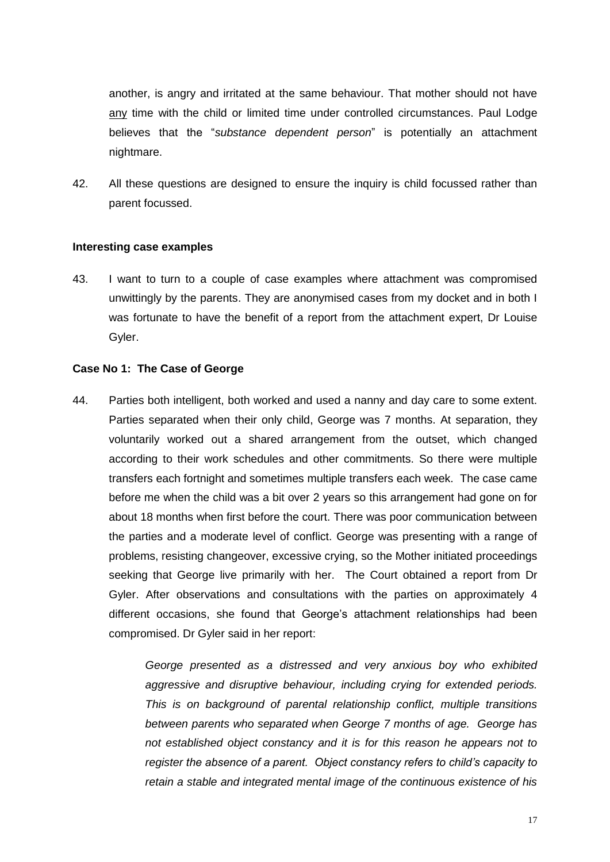another, is angry and irritated at the same behaviour. That mother should not have any time with the child or limited time under controlled circumstances. Paul Lodge believes that the "*substance dependent person*" is potentially an attachment nightmare.

42. All these questions are designed to ensure the inquiry is child focussed rather than parent focussed.

#### **Interesting case examples**

43. I want to turn to a couple of case examples where attachment was compromised unwittingly by the parents. They are anonymised cases from my docket and in both I was fortunate to have the benefit of a report from the attachment expert, Dr Louise Gyler.

#### **Case No 1: The Case of George**

44. Parties both intelligent, both worked and used a nanny and day care to some extent. Parties separated when their only child, George was 7 months. At separation, they voluntarily worked out a shared arrangement from the outset, which changed according to their work schedules and other commitments. So there were multiple transfers each fortnight and sometimes multiple transfers each week. The case came before me when the child was a bit over 2 years so this arrangement had gone on for about 18 months when first before the court. There was poor communication between the parties and a moderate level of conflict. George was presenting with a range of problems, resisting changeover, excessive crying, so the Mother initiated proceedings seeking that George live primarily with her. The Court obtained a report from Dr Gyler. After observations and consultations with the parties on approximately 4 different occasions, she found that George's attachment relationships had been compromised. Dr Gyler said in her report:

> *George presented as a distressed and very anxious boy who exhibited aggressive and disruptive behaviour, including crying for extended periods. This is on background of parental relationship conflict, multiple transitions between parents who separated when George 7 months of age. George has not established object constancy and it is for this reason he appears not to register the absence of a parent. Object constancy refers to child's capacity to retain a stable and integrated mental image of the continuous existence of his*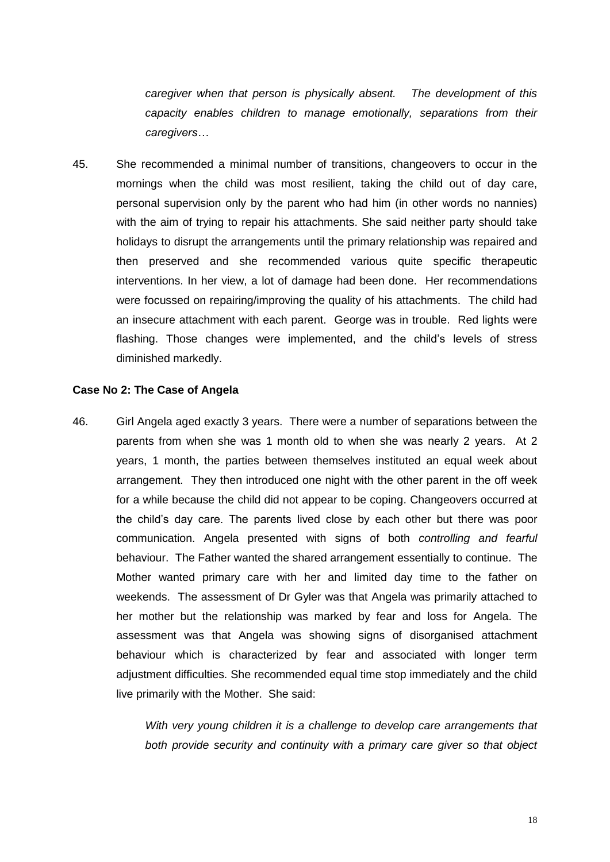*caregiver when that person is physically absent. The development of this capacity enables children to manage emotionally, separations from their caregivers…*

45. She recommended a minimal number of transitions, changeovers to occur in the mornings when the child was most resilient, taking the child out of day care, personal supervision only by the parent who had him (in other words no nannies) with the aim of trying to repair his attachments. She said neither party should take holidays to disrupt the arrangements until the primary relationship was repaired and then preserved and she recommended various quite specific therapeutic interventions. In her view, a lot of damage had been done. Her recommendations were focussed on repairing/improving the quality of his attachments. The child had an insecure attachment with each parent. George was in trouble. Red lights were flashing. Those changes were implemented, and the child's levels of stress diminished markedly.

#### **Case No 2: The Case of Angela**

46. Girl Angela aged exactly 3 years. There were a number of separations between the parents from when she was 1 month old to when she was nearly 2 years. At 2 years, 1 month, the parties between themselves instituted an equal week about arrangement. They then introduced one night with the other parent in the off week for a while because the child did not appear to be coping. Changeovers occurred at the child"s day care. The parents lived close by each other but there was poor communication. Angela presented with signs of both *controlling and fearful* behaviour. The Father wanted the shared arrangement essentially to continue. The Mother wanted primary care with her and limited day time to the father on weekends. The assessment of Dr Gyler was that Angela was primarily attached to her mother but the relationship was marked by fear and loss for Angela. The assessment was that Angela was showing signs of disorganised attachment behaviour which is characterized by fear and associated with longer term adjustment difficulties. She recommended equal time stop immediately and the child live primarily with the Mother. She said:

> *With very young children it is a challenge to develop care arrangements that both provide security and continuity with a primary care giver so that object*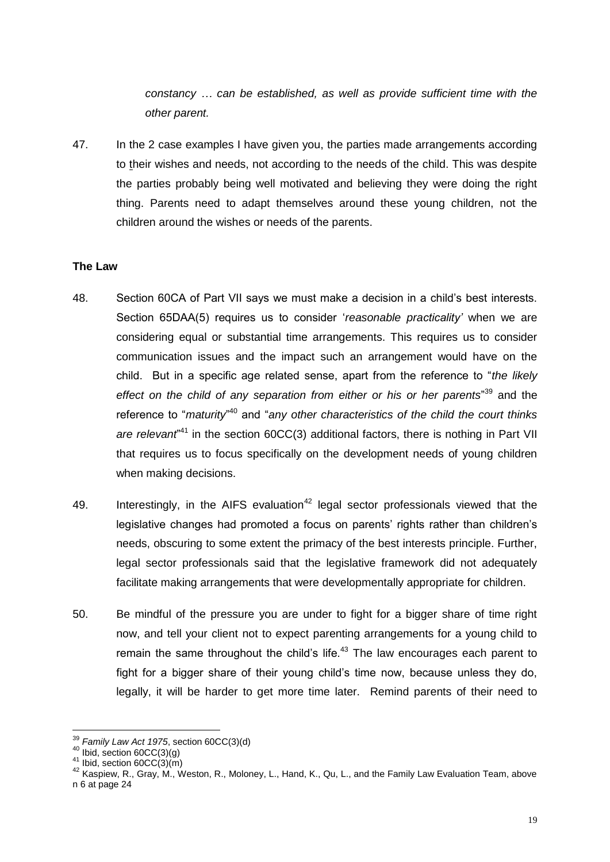*constancy … can be established, as well as provide sufficient time with the other parent.* 

47. In the 2 case examples I have given you, the parties made arrangements according to their wishes and needs, not according to the needs of the child. This was despite the parties probably being well motivated and believing they were doing the right thing. Parents need to adapt themselves around these young children, not the children around the wishes or needs of the parents.

## **The Law**

- 48. Section 60CA of Part VII says we must make a decision in a child"s best interests. Section 65DAA(5) requires us to consider "*reasonable practicality'* when we are considering equal or substantial time arrangements. This requires us to consider communication issues and the impact such an arrangement would have on the child. But in a specific age related sense, apart from the reference to "*the likely effect on the child of any separation from either or his or her parents*" <sup>39</sup> and the reference to "*maturity*" <sup>40</sup> and "*any other characteristics of the child the court thinks*  are relevant<sup>"41</sup> in the section 60CC(3) additional factors, there is nothing in Part VII that requires us to focus specifically on the development needs of young children when making decisions.
- 49. Interestingly, in the AIFS evaluation<sup>42</sup> legal sector professionals viewed that the legislative changes had promoted a focus on parents' rights rather than children's needs, obscuring to some extent the primacy of the best interests principle. Further, legal sector professionals said that the legislative framework did not adequately facilitate making arrangements that were developmentally appropriate for children.
- 50. Be mindful of the pressure you are under to fight for a bigger share of time right now, and tell your client not to expect parenting arrangements for a young child to remain the same throughout the child's life. $43$  The law encourages each parent to fight for a bigger share of their young child"s time now, because unless they do, legally, it will be harder to get more time later. Remind parents of their need to

<sup>39</sup> *Family Law Act 1975*, section 60CC(3)(d)

 $40$  Ibid, section 60CC(3)(g)

 $41$  Ibid, section 60CC(3)(m)

<sup>42</sup> Kaspiew, R., Gray, M., Weston, R., Moloney, L., Hand, K., Qu, L., and the Family Law Evaluation Team, above n 6 at page 24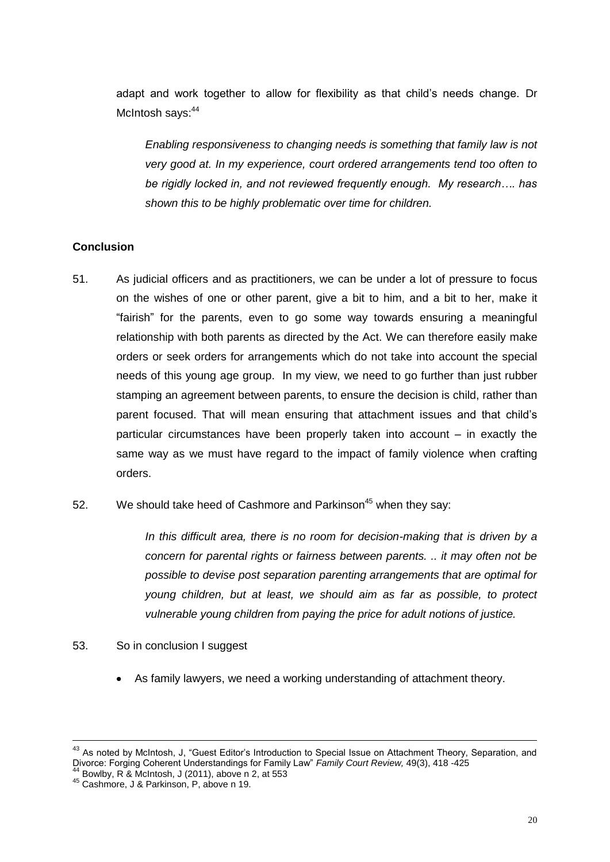adapt and work together to allow for flexibility as that child"s needs change. Dr McIntosh says: 44

*Enabling responsiveness to changing needs is something that family law is not very good at. In my experience, court ordered arrangements tend too often to be rigidly locked in, and not reviewed frequently enough. My research…. has shown this to be highly problematic over time for children.* 

# **Conclusion**

- 51. As judicial officers and as practitioners, we can be under a lot of pressure to focus on the wishes of one or other parent, give a bit to him, and a bit to her, make it "fairish" for the parents, even to go some way towards ensuring a meaningful relationship with both parents as directed by the Act. We can therefore easily make orders or seek orders for arrangements which do not take into account the special needs of this young age group. In my view, we need to go further than just rubber stamping an agreement between parents, to ensure the decision is child, rather than parent focused. That will mean ensuring that attachment issues and that child"s particular circumstances have been properly taken into account – in exactly the same way as we must have regard to the impact of family violence when crafting orders.
- 52. We should take heed of Cashmore and Parkinson<sup>45</sup> when they say:

*In this difficult area, there is no room for decision-making that is driven by a concern for parental rights or fairness between parents. .. it may often not be possible to devise post separation parenting arrangements that are optimal for young children, but at least, we should aim as far as possible, to protect vulnerable young children from paying the price for adult notions of justice.*

- 53. So in conclusion I suggest
	- As family lawyers, we need a working understanding of attachment theory.

 $\overline{a}$ 

<sup>&</sup>lt;sup>43</sup> As noted by McIntosh, J, "Guest Editor's Introduction to Special Issue on Attachment Theory, Separation, and Divorce: Forging Coherent Understandings for Family Law" *Family Court Review,* 49(3), 418 -425

<sup>44</sup> Bowlby, R & McIntosh, J (2011), above n 2, at 553

<sup>45</sup> Cashmore, J & Parkinson, P, above n 19.